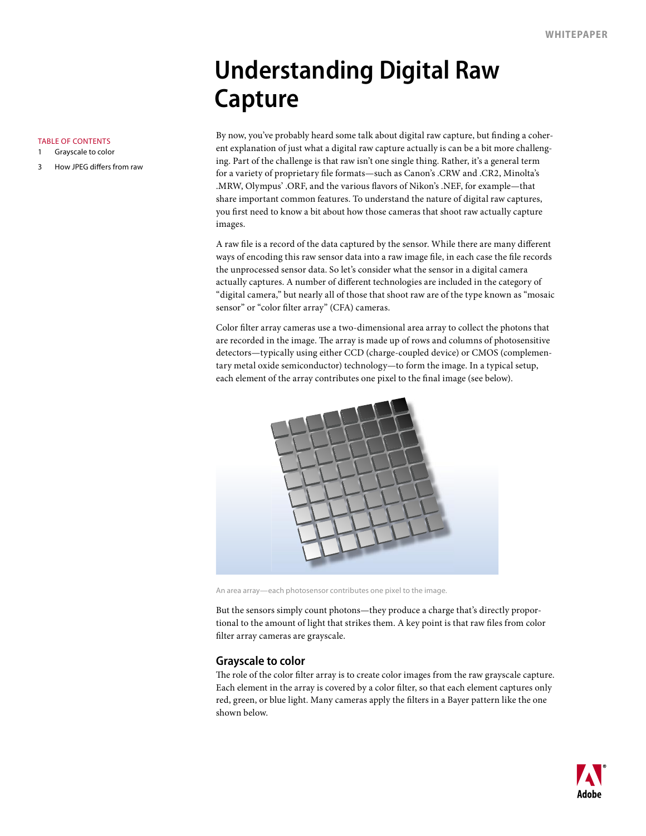## **Understanding Digital Raw Capture**

By now, you've probably heard some talk about digital raw capture, but finding a coherent explanation of just what a digital raw capture actually is can be a bit more challenging. Part of the challenge is that raw isn't one single thing. Rather, it's a general term for a variety of proprietary file formats—such as Canon's .CRW and .CR2, Minolta's .MRW, Olympus' .ORF, and the various flavors of Nikon's .NEF, for example—that share important common features. To understand the nature of digital raw captures, you first need to know a bit about how those cameras that shoot raw actually capture images.

A raw file is a record of the data captured by the sensor. While there are many different ways of encoding this raw sensor data into a raw image file, in each case the file records the unprocessed sensor data. So let's consider what the sensor in a digital camera actually captures. A number of different technologies are included in the category of "digital camera," but nearly all of those that shoot raw are of the type known as "mosaic sensor" or "color filter array" (CFA) cameras.

Color filter array cameras use a two-dimensional area array to collect the photons that are recorded in the image. The array is made up of rows and columns of photosensitive detectors—typically using either CCD (charge-coupled device) or CMOS (complementary metal oxide semiconductor) technology—to form the image. In a typical setup, each element of the array contributes one pixel to the final image (see below).



An area array—each photosensor contributes one pixel to the image.

But the sensors simply count photons—they produce a charge that's directly proportional to the amount of light that strikes them. A key point is that raw files from color filter array cameras are grayscale.

## **Grayscale to color**

The role of the color filter array is to create color images from the raw grayscale capture. Each element in the array is covered by a color filter, so that each element captures only red, green, or blue light. Many cameras apply the filters in a Bayer pattern like the one shown below.



How JPEG differs from raw

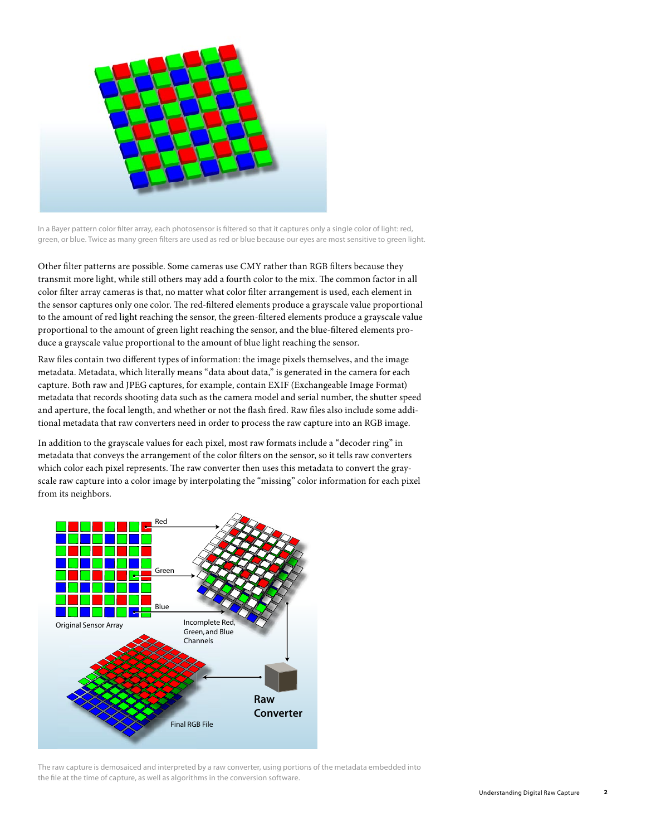

In a Bayer pattern color filter array, each photosensor is filtered so that it captures only a single color of light: red, green, or blue. Twice as many green filters are used as red or blue because our eyes are most sensitive to green light.

Other filter patterns are possible. Some cameras use CMY rather than RGB filters because they transmit more light, while still others may add a fourth color to the mix. The common factor in all color filter array cameras is that, no matter what color filter arrangement is used, each element in the sensor captures only one color. The red-filtered elements produce a grayscale value proportional to the amount of red light reaching the sensor, the green-filtered elements produce a grayscale value proportional to the amount of green light reaching the sensor, and the blue-filtered elements produce a grayscale value proportional to the amount of blue light reaching the sensor.

Raw files contain two different types of information: the image pixels themselves, and the image metadata. Metadata, which literally means "data about data," is generated in the camera for each capture. Both raw and JPEG captures, for example, contain EXIF (Exchangeable Image Format) metadata that records shooting data such as the camera model and serial number, the shutter speed and aperture, the focal length, and whether or not the flash fired. Raw files also include some additional metadata that raw converters need in order to process the raw capture into an RGB image.

In addition to the grayscale values for each pixel, most raw formats include a "decoder ring" in metadata that conveys the arrangement of the color filters on the sensor, so it tells raw converters which color each pixel represents. The raw converter then uses this metadata to convert the grayscale raw capture into a color image by interpolating the "missing" color information for each pixel from its neighbors.



The raw capture is demosaiced and interpreted by a raw converter, using portions of the metadata embedded into the file at the time of capture, as well as algorithms in the conversion software.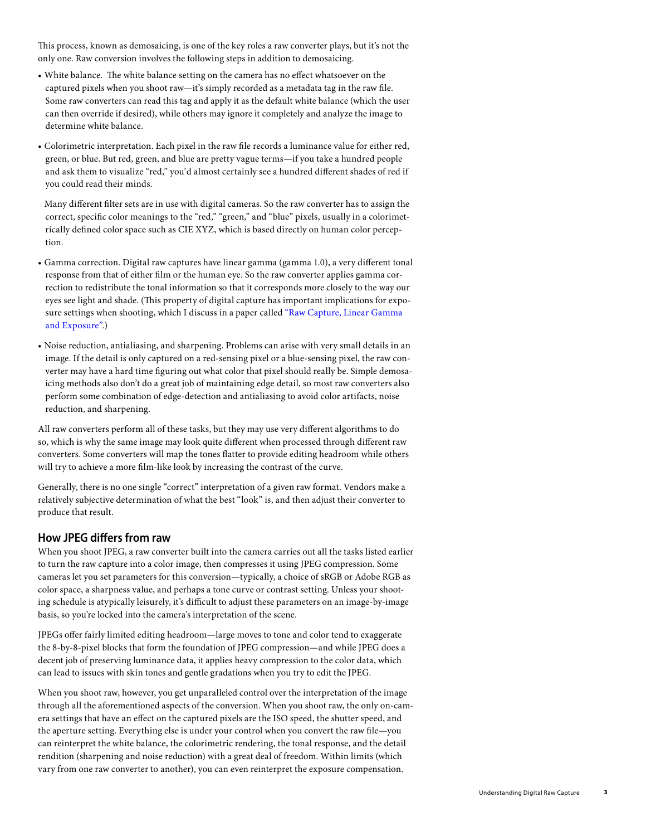<span id="page-2-0"></span>This process, known as demosaicing, is one of the key roles a raw converter plays, but it's not the only one. Raw conversion involves the following steps in addition to demosaicing.

- White balance. The white balance setting on the camera has no effect whatsoever on the captured pixels when you shoot raw—it's simply recorded as a metadata tag in the raw file. Some raw converters can read this tag and apply it as the default white balance (which the user can then override if desired), while others may ignore it completely and analyze the image to determine white balance.
- Colorimetric interpretation. Each pixel in the raw file records a luminance value for either red, green, or blue. But red, green, and blue are pretty vague terms—if you take a hundred people and ask them to visualize "red," you'd almost certainly see a hundred different shades of red if you could read their minds.

 Many different filter sets are in use with digital cameras. So the raw converter has to assign the correct, specific color meanings to the "red," "green," and "blue" pixels, usually in a colorimetrically defined color space such as CIE XYZ, which is based directly on human color perception.

- Gamma correction. Digital raw captures have linear gamma (gamma 1.0), a very different tonal response from that of either film or the human eye. So the raw converter applies gamma correction to redistribute the tonal information so that it corresponds more closely to the way our eyes see light and shade. (This property of digital capture has important implications for exposure settings when shooting, which I discuss in a paper called "[Raw Capture, Linear Gamma](www.adobe.com/digitalimag/ps_pro.html)  [and Exposure"](www.adobe.com/digitalimag/ps_pro.html).)
- Noise reduction, antialiasing, and sharpening. Problems can arise with very small details in an image. If the detail is only captured on a red-sensing pixel or a blue-sensing pixel, the raw converter may have a hard time figuring out what color that pixel should really be. Simple demosaicing methods also don't do a great job of maintaining edge detail, so most raw converters also perform some combination of edge-detection and antialiasing to avoid color artifacts, noise reduction, and sharpening.

All raw converters perform all of these tasks, but they may use very different algorithms to do so, which is why the same image may look quite different when processed through different raw converters. Some converters will map the tones flatter to provide editing headroom while others will try to achieve a more film-like look by increasing the contrast of the curve.

Generally, there is no one single "correct" interpretation of a given raw format. Vendors make a relatively subjective determination of what the best "look" is, and then adjust their converter to produce that result.

## **How JPEG differs from raw**

When you shoot JPEG, a raw converter built into the camera carries out all the tasks listed earlier to turn the raw capture into a color image, then compresses it using JPEG compression. Some cameras let you set parameters for this conversion—typically, a choice of sRGB or Adobe RGB as color space, a sharpness value, and perhaps a tone curve or contrast setting. Unless your shooting schedule is atypically leisurely, it's difficult to adjust these parameters on an image-by-image basis, so you're locked into the camera's interpretation of the scene.

JPEGs offer fairly limited editing headroom—large moves to tone and color tend to exaggerate the 8-by-8-pixel blocks that form the foundation of JPEG compression—and while JPEG does a decent job of preserving luminance data, it applies heavy compression to the color data, which can lead to issues with skin tones and gentle gradations when you try to edit the JPEG.

When you shoot raw, however, you get unparalleled control over the interpretation of the image through all the aforementioned aspects of the conversion. When you shoot raw, the only on-camera settings that have an effect on the captured pixels are the ISO speed, the shutter speed, and the aperture setting. Everything else is under your control when you convert the raw file—you can reinterpret the white balance, the colorimetric rendering, the tonal response, and the detail rendition (sharpening and noise reduction) with a great deal of freedom. Within limits (which vary from one raw converter to another), you can even reinterpret the exposure compensation.